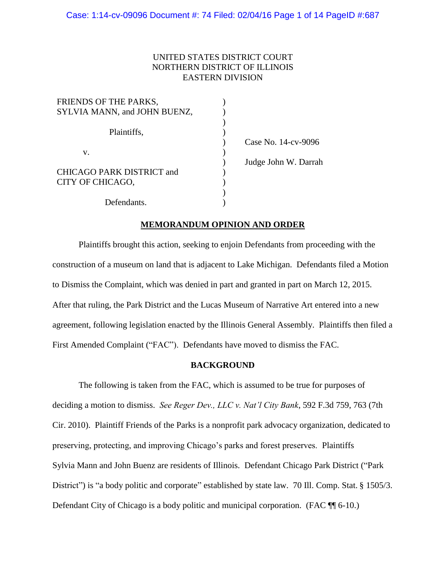# UNITED STATES DISTRICT COURT NORTHERN DISTRICT OF ILLINOIS EASTERN DIVISION

| FRIENDS OF THE PARKS,        |                      |
|------------------------------|----------------------|
| SYLVIA MANN, and JOHN BUENZ, |                      |
|                              |                      |
| Plaintiffs,                  |                      |
|                              | Case No. 14-cv-9096  |
| v.                           |                      |
|                              | Judge John W. Darrah |
| CHICAGO PARK DISTRICT and    |                      |
| CITY OF CHICAGO,             |                      |
|                              |                      |
| Defendants.                  |                      |

# **MEMORANDUM OPINION AND ORDER**

Darrah

Plaintiffs brought this action, seeking to enjoin Defendants from proceeding with the construction of a museum on land that is adjacent to Lake Michigan. Defendants filed a Motion to Dismiss the Complaint, which was denied in part and granted in part on March 12, 2015. After that ruling, the Park District and the Lucas Museum of Narrative Art entered into a new agreement, following legislation enacted by the Illinois General Assembly. Plaintiffs then filed a First Amended Complaint ("FAC"). Defendants have moved to dismiss the FAC.

## **BACKGROUND**

The following is taken from the FAC, which is assumed to be true for purposes of deciding a motion to dismiss. *See Reger Dev., LLC v. Nat'l City Bank*, 592 F.3d 759, 763 (7th Cir. 2010). Plaintiff Friends of the Parks is a nonprofit park advocacy organization, dedicated to preserving, protecting, and improving Chicago's parks and forest preserves. Plaintiffs Sylvia Mann and John Buenz are residents of Illinois. Defendant Chicago Park District ("Park District") is "a body politic and corporate" established by state law. 70 Ill. Comp. Stat. § 1505/3. Defendant City of Chicago is a body politic and municipal corporation. (FAC ¶¶ 6-10.)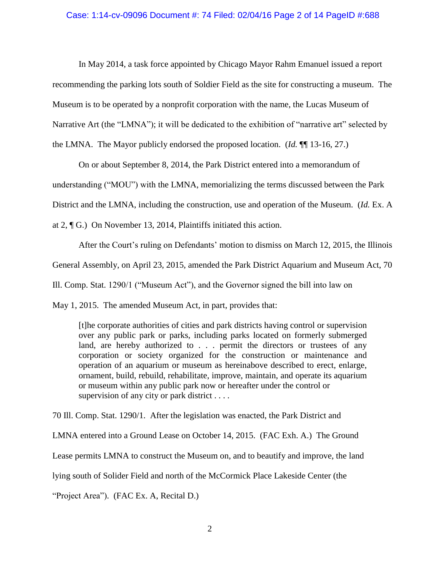#### Case: 1:14-cv-09096 Document #: 74 Filed: 02/04/16 Page 2 of 14 PageID #:688

In May 2014, a task force appointed by Chicago Mayor Rahm Emanuel issued a report

recommending the parking lots south of Soldier Field as the site for constructing a museum. The

Museum is to be operated by a nonprofit corporation with the name, the Lucas Museum of

Narrative Art (the "LMNA"); it will be dedicated to the exhibition of "narrative art" selected by

the LMNA. The Mayor publicly endorsed the proposed location. (*Id.* ¶¶ 13-16, 27.)

On or about September 8, 2014, the Park District entered into a memorandum of

understanding ("MOU") with the LMNA, memorializing the terms discussed between the Park

District and the LMNA, including the construction, use and operation of the Museum. (*Id.* Ex. A

at 2, ¶ G.) On November 13, 2014, Plaintiffs initiated this action.

After the Court's ruling on Defendants' motion to dismiss on March 12, 2015, the Illinois General Assembly, on April 23, 2015, amended the Park District Aquarium and Museum Act, 70 Ill. Comp. Stat. 1290/1 ("Museum Act"), and the Governor signed the bill into law on

May 1, 2015. The amended Museum Act, in part, provides that:

[t]he corporate authorities of cities and park districts having control or supervision over any public park or parks, including parks located on formerly submerged land, are hereby authorized to . . . permit the directors or trustees of any corporation or society organized for the construction or maintenance and operation of an aquarium or museum as hereinabove described to erect, enlarge, ornament, build, rebuild, rehabilitate, improve, maintain, and operate its aquarium or museum within any public park now or hereafter under the control or supervision of any city or park district . . . .

70 Ill. Comp. Stat. 1290/1. After the legislation was enacted, the Park District and

LMNA entered into a Ground Lease on October 14, 2015. (FAC Exh. A.) The Ground

Lease permits LMNA to construct the Museum on, and to beautify and improve, the land

lying south of Solider Field and north of the McCormick Place Lakeside Center (the

"Project Area"). (FAC Ex. A, Recital D.)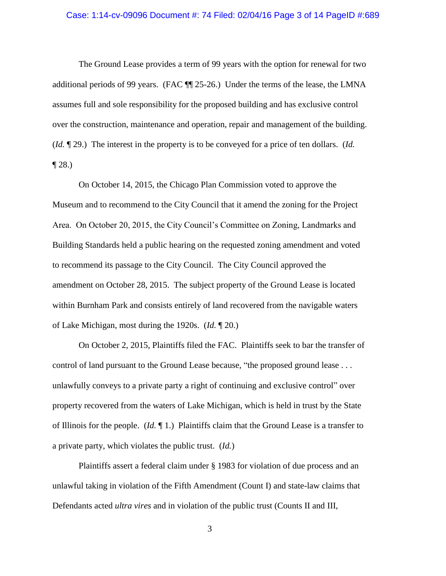#### Case: 1:14-cv-09096 Document #: 74 Filed: 02/04/16 Page 3 of 14 PageID #:689

The Ground Lease provides a term of 99 years with the option for renewal for two additional periods of 99 years. (FAC ¶¶ 25-26.) Under the terms of the lease, the LMNA assumes full and sole responsibility for the proposed building and has exclusive control over the construction, maintenance and operation, repair and management of the building. (*Id.* ¶ 29.) The interest in the property is to be conveyed for a price of ten dollars. (*Id.*  $\P$  28.)

On October 14, 2015, the Chicago Plan Commission voted to approve the Museum and to recommend to the City Council that it amend the zoning for the Project Area. On October 20, 2015, the City Council's Committee on Zoning, Landmarks and Building Standards held a public hearing on the requested zoning amendment and voted to recommend its passage to the City Council. The City Council approved the amendment on October 28, 2015. The subject property of the Ground Lease is located within Burnham Park and consists entirely of land recovered from the navigable waters of Lake Michigan, most during the 1920s. (*Id.* ¶ 20.)

On October 2, 2015, Plaintiffs filed the FAC. Plaintiffs seek to bar the transfer of control of land pursuant to the Ground Lease because, "the proposed ground lease . . . unlawfully conveys to a private party a right of continuing and exclusive control" over property recovered from the waters of Lake Michigan, which is held in trust by the State of Illinois for the people. (*Id.* ¶ 1.) Plaintiffs claim that the Ground Lease is a transfer to a private party, which violates the public trust. (*Id.*)

Plaintiffs assert a federal claim under § 1983 for violation of due process and an unlawful taking in violation of the Fifth Amendment (Count I) and state-law claims that Defendants acted *ultra vires* and in violation of the public trust (Counts II and III,

3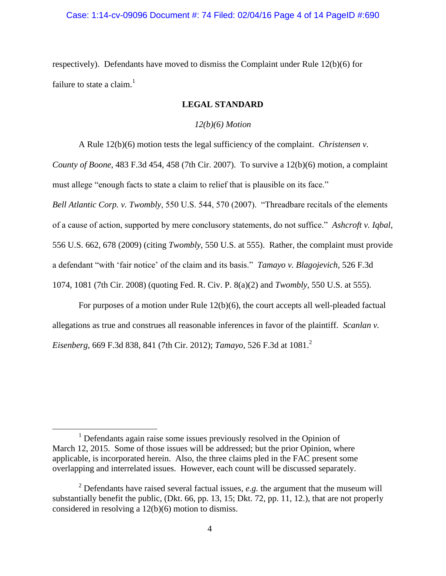# Case: 1:14-cv-09096 Document #: 74 Filed: 02/04/16 Page 4 of 14 PageID #:690

respectively). Defendants have moved to dismiss the Complaint under Rule 12(b)(6) for failure to state a claim. $<sup>1</sup>$ </sup>

# **LEGAL STANDARD**

## *12(b)(6) Motion*

A Rule 12(b)(6) motion tests the legal sufficiency of the complaint. *Christensen v.* 

*County of Boone*, 483 F.3d 454, 458 (7th Cir. 2007). To survive a 12(b)(6) motion, a complaint must allege "enough facts to state a claim to relief that is plausible on its face."

*Bell Atlantic Corp. v. Twombly*, 550 U.S. 544, 570 (2007). "Threadbare recitals of the elements of a cause of action, supported by mere conclusory statements, do not suffice." *Ashcroft v. Iqbal*, 556 U.S. 662, 678 (2009) (citing *Twombly*, 550 U.S. at 555). Rather, the complaint must provide a defendant "with 'fair notice' of the claim and its basis." *Tamayo v. Blagojevich*, 526 F.3d 1074, 1081 (7th Cir. 2008) (quoting Fed. R. Civ. P. 8(a)(2) and *Twombly*, 550 U.S. at 555).

For purposes of a motion under Rule 12(b)(6), the court accepts all well-pleaded factual allegations as true and construes all reasonable inferences in favor of the plaintiff. *Scanlan v. Eisenberg*, 669 F.3d 838, 841 (7th Cir. 2012); *Tamayo*, 526 F.3d at 1081.<sup>2</sup>

 $\overline{a}$ 

 $1$  Defendants again raise some issues previously resolved in the Opinion of March 12, 2015. Some of those issues will be addressed; but the prior Opinion, where applicable, is incorporated herein. Also, the three claims pled in the FAC present some overlapping and interrelated issues. However, each count will be discussed separately.

<sup>2</sup> Defendants have raised several factual issues, *e.g.* the argument that the museum will substantially benefit the public, (Dkt. 66, pp. 13, 15; Dkt. 72, pp. 11, 12.), that are not properly considered in resolving a 12(b)(6) motion to dismiss.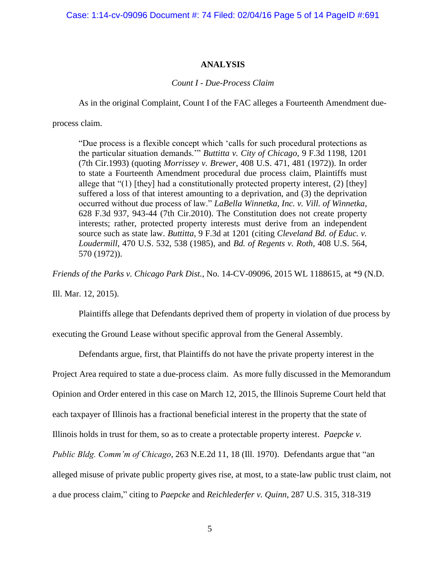Case: 1:14-cv-09096 Document #: 74 Filed: 02/04/16 Page 5 of 14 PageID #:691

## **ANALYSIS**

#### *Count I - Due-Process Claim*

As in the original Complaint, Count I of the FAC alleges a Fourteenth Amendment due-

process claim.

"Due process is a flexible concept which 'calls for such procedural protections as the particular situation demands.'" *Buttitta v. City of Chicago*, 9 F.3d 1198, 1201 (7th Cir.1993) (quoting *Morrissey v. Brewer*, 408 U.S. 471, 481 (1972)). In order to state a Fourteenth Amendment procedural due process claim, Plaintiffs must allege that " $(1)$  [they] had a constitutionally protected property interest,  $(2)$  [they] suffered a loss of that interest amounting to a deprivation, and (3) the deprivation occurred without due process of law." *LaBella Winnetka, Inc. v. Vill. of Winnetka*, 628 F.3d 937, 943-44 (7th Cir.2010). The Constitution does not create property interests; rather, protected property interests must derive from an independent source such as state law. *Buttitta*, 9 F.3d at 1201 (citing *Cleveland Bd. of Educ. v. Loudermill*, 470 U.S. 532, 538 (1985), and *Bd. of Regents v. Roth*, 408 U.S. 564, 570 (1972)).

*Friends of the Parks v. Chicago Park Dist.*, No. 14-CV-09096, 2015 WL 1188615, at \*9 (N.D.

Ill. Mar. 12, 2015).

Plaintiffs allege that Defendants deprived them of property in violation of due process by

executing the Ground Lease without specific approval from the General Assembly.

Defendants argue, first, that Plaintiffs do not have the private property interest in the

Project Area required to state a due-process claim. As more fully discussed in the Memorandum

Opinion and Order entered in this case on March 12, 2015, the Illinois Supreme Court held that

each taxpayer of Illinois has a fractional beneficial interest in the property that the state of

Illinois holds in trust for them, so as to create a protectable property interest. *Paepcke v.* 

*Public Bldg. Comm'm of Chicago*, 263 N.E.2d 11, 18 (Ill. 1970). Defendants argue that "an

alleged misuse of private public property gives rise, at most, to a state-law public trust claim, not

a due process claim," citing to *Paepcke* and *Reichlederfer v. Quinn*, 287 U.S. 315, 318-319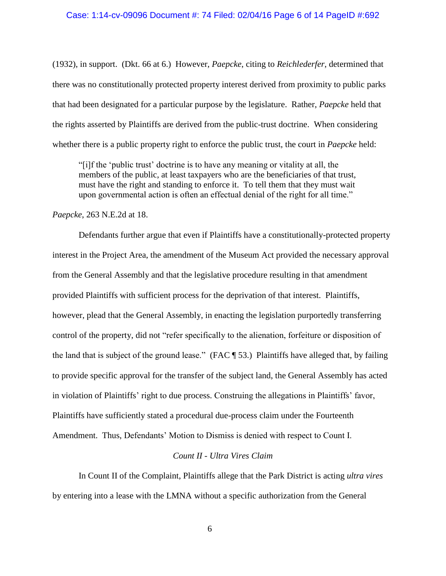(1932), in support. (Dkt. 66 at 6.) However, *Paepcke*, citing to *Reichlederfer*, determined that there was no constitutionally protected property interest derived from proximity to public parks that had been designated for a particular purpose by the legislature. Rather, *Paepcke* held that the rights asserted by Plaintiffs are derived from the public-trust doctrine. When considering whether there is a public property right to enforce the public trust, the court in *Paepcke* held:

"[i]f the 'public trust' doctrine is to have any meaning or vitality at all, the members of the public, at least taxpayers who are the beneficiaries of that trust, must have the right and standing to enforce it. To tell them that they must wait upon governmental action is often an effectual denial of the right for all time."

*Paepcke*, 263 N.E.2d at 18.

Defendants further argue that even if Plaintiffs have a constitutionally-protected property interest in the Project Area, the amendment of the Museum Act provided the necessary approval from the General Assembly and that the legislative procedure resulting in that amendment provided Plaintiffs with sufficient process for the deprivation of that interest. Plaintiffs, however, plead that the General Assembly, in enacting the legislation purportedly transferring control of the property, did not "refer specifically to the alienation, forfeiture or disposition of the land that is subject of the ground lease." (FAC ¶ 53.) Plaintiffs have alleged that, by failing to provide specific approval for the transfer of the subject land, the General Assembly has acted in violation of Plaintiffs' right to due process. Construing the allegations in Plaintiffs' favor, Plaintiffs have sufficiently stated a procedural due-process claim under the Fourteenth Amendment. Thus, Defendants' Motion to Dismiss is denied with respect to Count I.

# *Count II - Ultra Vires Claim*

In Count II of the Complaint, Plaintiffs allege that the Park District is acting *ultra vires*  by entering into a lease with the LMNA without a specific authorization from the General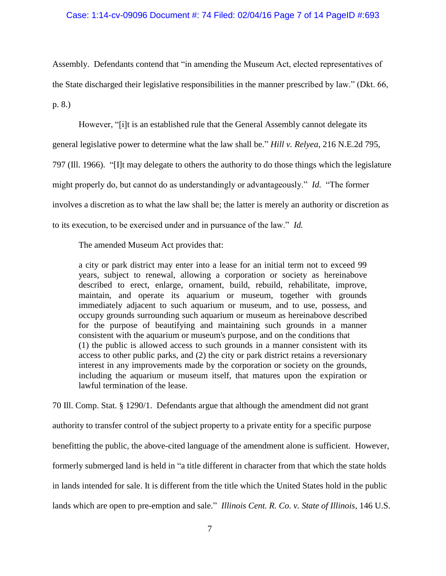### Case: 1:14-cv-09096 Document #: 74 Filed: 02/04/16 Page 7 of 14 PageID #:693

Assembly. Defendants contend that "in amending the Museum Act, elected representatives of the State discharged their legislative responsibilities in the manner prescribed by law." (Dkt. 66, p. 8.)

However, "[i]t is an established rule that the General Assembly cannot delegate its general legislative power to determine what the law shall be." *Hill v. Relyea*, 216 N.E.2d 795, 797 (Ill. 1966). "[I]t may delegate to others the authority to do those things which the legislature might properly do, but cannot do as understandingly or advantageously." *Id.* "The former involves a discretion as to what the law shall be; the latter is merely an authority or discretion as to its execution, to be exercised under and in pursuance of the law." *Id.*

The amended Museum Act provides that:

a city or park district may enter into a lease for an initial term not to exceed 99 years, subject to renewal, allowing a corporation or society as hereinabove described to erect, enlarge, ornament, build, rebuild, rehabilitate, improve, maintain, and operate its aquarium or museum, together with grounds immediately adjacent to such aquarium or museum, and to use, possess, and occupy grounds surrounding such aquarium or museum as hereinabove described for the purpose of beautifying and maintaining such grounds in a manner consistent with the aquarium or museum's purpose, and on the conditions that (1) the public is allowed access to such grounds in a manner consistent with its access to other public parks, and (2) the city or park district retains a reversionary interest in any improvements made by the corporation or society on the grounds, including the aquarium or museum itself, that matures upon the expiration or lawful termination of the lease.

70 Ill. Comp. Stat. § 1290/1. Defendants argue that although the amendment did not grant authority to transfer control of the subject property to a private entity for a specific purpose benefitting the public, the above-cited language of the amendment alone is sufficient. However, formerly submerged land is held in "a title different in character from that which the state holds in lands intended for sale. It is different from the title which the United States hold in the public lands which are open to pre-emption and sale." *Illinois Cent. R. Co. v. State of Illinois*, 146 U.S.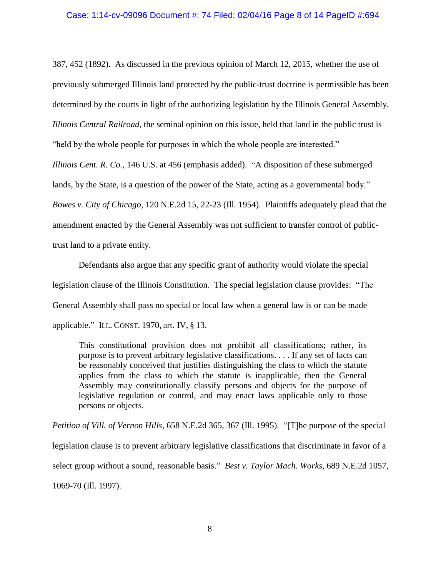#### Case: 1:14-cv-09096 Document #: 74 Filed: 02/04/16 Page 8 of 14 PageID #:694

387, 452 (1892). As discussed in the previous opinion of March 12, 2015, whether the use of previously submerged Illinois land protected by the public-trust doctrine is permissible has been determined by the courts in light of the authorizing legislation by the Illinois General Assembly. *Illinois Central Railroad*, the seminal opinion on this issue, held that land in the public trust is "held by the whole people for purposes in which the whole people are interested."

*Illinois Cent. R. Co.*, 146 U.S. at 456 (emphasis added). "A disposition of these submerged lands, by the State, is a question of the power of the State, acting as a governmental body." *Bowes v. City of Chicago*, 120 N.E.2d 15, 22-23 (Ill. 1954). Plaintiffs adequately plead that the amendment enacted by the General Assembly was not sufficient to transfer control of publictrust land to a private entity.

Defendants also argue that any specific grant of authority would violate the special legislation clause of the Illinois Constitution. The special legislation clause provides: "The General Assembly shall pass no special or local law when a general law is or can be made applicable." ILL. CONST. 1970, art. IV, § 13.

This constitutional provision does not prohibit all classifications; rather, its purpose is to prevent arbitrary legislative classifications. . . . If any set of facts can be reasonably conceived that justifies distinguishing the class to which the statute applies from the class to which the statute is inapplicable, then the General Assembly may constitutionally classify persons and objects for the purpose of legislative regulation or control, and may enact laws applicable only to those persons or objects.

*Petition of Vill. of Vernon Hills*, 658 N.E.2d 365, 367 (Ill. 1995). "[T]he purpose of the special legislation clause is to prevent arbitrary legislative classifications that discriminate in favor of a select group without a sound, reasonable basis." *Best v. Taylor Mach. Works*, 689 N.E.2d 1057, 1069-70 (Ill. 1997).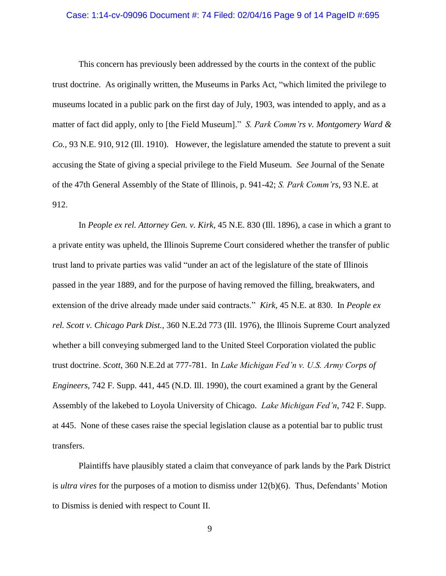#### Case: 1:14-cv-09096 Document #: 74 Filed: 02/04/16 Page 9 of 14 PageID #:695

This concern has previously been addressed by the courts in the context of the public trust doctrine. As originally written, the Museums in Parks Act, "which limited the privilege to museums located in a public park on the first day of July, 1903, was intended to apply, and as a matter of fact did apply, only to [the Field Museum]." *S. Park Comm'rs v. Montgomery Ward & Co.*, 93 N.E. 910, 912 (Ill. 1910). However, the legislature amended the statute to prevent a suit accusing the State of giving a special privilege to the Field Museum. *See* Journal of the Senate of the 47th General Assembly of the State of Illinois, p. 941-42; *S. Park Comm'rs*, 93 N.E. at 912.

In *People ex rel. Attorney Gen. v. Kirk*, 45 N.E. 830 (Ill. 1896), a case in which a grant to a private entity was upheld, the Illinois Supreme Court considered whether the transfer of public trust land to private parties was valid "under an act of the legislature of the state of Illinois passed in the year 1889, and for the purpose of having removed the filling, breakwaters, and extension of the drive already made under said contracts." *Kirk*, 45 N.E. at 830. In *People ex rel. Scott v. Chicago Park Dist.*, 360 N.E.2d 773 (Ill. 1976), the Illinois Supreme Court analyzed whether a bill conveying submerged land to the United Steel Corporation violated the public trust doctrine. *Scott*, 360 N.E.2d at 777-781. In *Lake Michigan Fed'n v. U.S. Army Corps of Engineers*, 742 F. Supp. 441, 445 (N.D. Ill. 1990), the court examined a grant by the General Assembly of the lakebed to Loyola University of Chicago. *Lake Michigan Fed'n*, 742 F. Supp. at 445. None of these cases raise the special legislation clause as a potential bar to public trust transfers.

Plaintiffs have plausibly stated a claim that conveyance of park lands by the Park District is *ultra vires* for the purposes of a motion to dismiss under 12(b)(6). Thus, Defendants' Motion to Dismiss is denied with respect to Count II.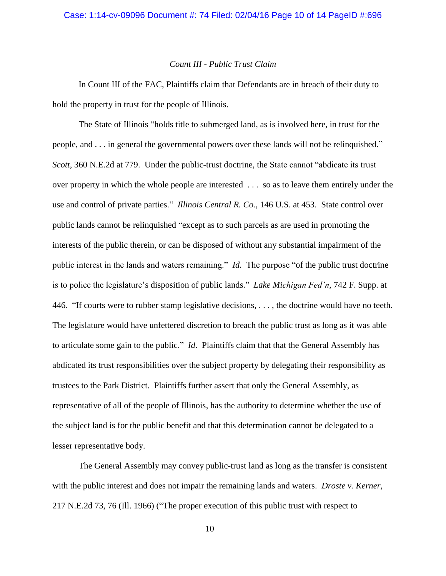## *Count III - Public Trust Claim*

In Count III of the FAC, Plaintiffs claim that Defendants are in breach of their duty to hold the property in trust for the people of Illinois.

The State of Illinois "holds title to submerged land, as is involved here, in trust for the people, and . . . in general the governmental powers over these lands will not be relinquished." *Scott*, 360 N.E.2d at 779. Under the public-trust doctrine, the State cannot "abdicate its trust over property in which the whole people are interested . . . so as to leave them entirely under the use and control of private parties." *Illinois Central R. Co.*, 146 U.S. at 453. State control over public lands cannot be relinquished "except as to such parcels as are used in promoting the interests of the public therein, or can be disposed of without any substantial impairment of the public interest in the lands and waters remaining." *Id.* The purpose "of the public trust doctrine is to police the legislature's disposition of public lands." *Lake Michigan Fed'n*, 742 F. Supp. at 446. "If courts were to rubber stamp legislative decisions, . . . , the doctrine would have no teeth. The legislature would have unfettered discretion to breach the public trust as long as it was able to articulate some gain to the public." *Id*. Plaintiffs claim that that the General Assembly has abdicated its trust responsibilities over the subject property by delegating their responsibility as trustees to the Park District. Plaintiffs further assert that only the General Assembly, as representative of all of the people of Illinois, has the authority to determine whether the use of the subject land is for the public benefit and that this determination cannot be delegated to a lesser representative body.

The General Assembly may convey public-trust land as long as the transfer is consistent with the public interest and does not impair the remaining lands and waters. *Droste v. Kerner*, 217 N.E.2d 73, 76 (Ill. 1966) ("The proper execution of this public trust with respect to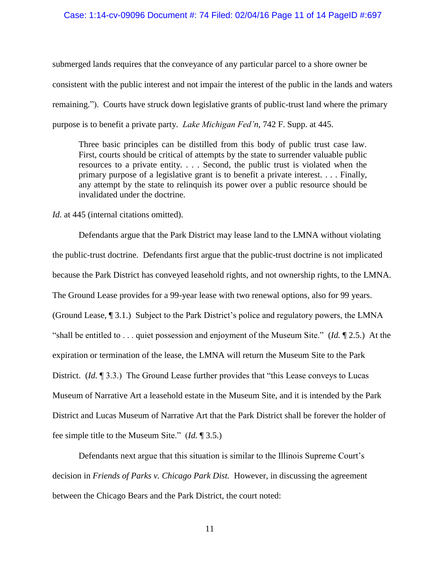#### Case: 1:14-cv-09096 Document #: 74 Filed: 02/04/16 Page 11 of 14 PageID #:697

submerged lands requires that the conveyance of any particular parcel to a shore owner be consistent with the public interest and not impair the interest of the public in the lands and waters remaining."). Courts have struck down legislative grants of public-trust land where the primary purpose is to benefit a private party. *Lake Michigan Fed'n*, 742 F. Supp. at 445.

Three basic principles can be distilled from this body of public trust case law. First, courts should be critical of attempts by the state to surrender valuable public resources to a private entity. . . . Second, the public trust is violated when the primary purpose of a legislative grant is to benefit a private interest. . . . Finally, any attempt by the state to relinquish its power over a public resource should be invalidated under the doctrine.

*Id.* at 445 (internal citations omitted).

Defendants argue that the Park District may lease land to the LMNA without violating the public-trust doctrine. Defendants first argue that the public-trust doctrine is not implicated because the Park District has conveyed leasehold rights, and not ownership rights, to the LMNA. The Ground Lease provides for a 99-year lease with two renewal options, also for 99 years. (Ground Lease, ¶ 3.1.) Subject to the Park District's police and regulatory powers, the LMNA "shall be entitled to . . . quiet possession and enjoyment of the Museum Site." (*Id.* ¶ 2.5.) At the expiration or termination of the lease, the LMNA will return the Museum Site to the Park District. (*Id.* 193.3.) The Ground Lease further provides that "this Lease conveys to Lucas" Museum of Narrative Art a leasehold estate in the Museum Site, and it is intended by the Park District and Lucas Museum of Narrative Art that the Park District shall be forever the holder of fee simple title to the Museum Site." (*Id.* ¶ 3.5.)

Defendants next argue that this situation is similar to the Illinois Supreme Court's decision in *Friends of Parks v. Chicago Park Dist.* However, in discussing the agreement between the Chicago Bears and the Park District, the court noted: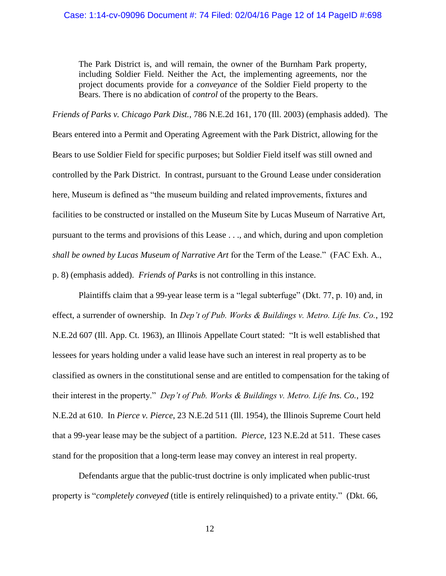The Park District is, and will remain, the owner of the Burnham Park property, including Soldier Field. Neither the Act, the implementing agreements, nor the project documents provide for a *conveyance* of the Soldier Field property to the Bears. There is no abdication of *control* of the property to the Bears.

*Friends of Parks v. Chicago Park Dist.*, 786 N.E.2d 161, 170 (Ill. 2003) (emphasis added). The Bears entered into a Permit and Operating Agreement with the Park District, allowing for the Bears to use Soldier Field for specific purposes; but Soldier Field itself was still owned and controlled by the Park District. In contrast, pursuant to the Ground Lease under consideration here, Museum is defined as "the museum building and related improvements, fixtures and facilities to be constructed or installed on the Museum Site by Lucas Museum of Narrative Art, pursuant to the terms and provisions of this Lease . . ., and which, during and upon completion *shall be owned by Lucas Museum of Narrative Art* for the Term of the Lease." (FAC Exh. A., p. 8) (emphasis added). *Friends of Parks* is not controlling in this instance.

Plaintiffs claim that a 99-year lease term is a "legal subterfuge" (Dkt. 77, p. 10) and, in effect, a surrender of ownership. In *Dep't of Pub. Works & Buildings v. Metro. Life Ins. Co.*, 192 N.E.2d 607 (Ill. App. Ct. 1963), an Illinois Appellate Court stated: "It is well established that lessees for years holding under a valid lease have such an interest in real property as to be classified as owners in the constitutional sense and are entitled to compensation for the taking of their interest in the property." *Dep't of Pub. Works & Buildings v. Metro. Life Ins. Co.*, 192 N.E.2d at 610. In *Pierce v. Pierce*, 23 N.E.2d 511 (Ill. 1954), the Illinois Supreme Court held that a 99-year lease may be the subject of a partition. *Pierce*, 123 N.E.2d at 511. These cases stand for the proposition that a long-term lease may convey an interest in real property.

Defendants argue that the public-trust doctrine is only implicated when public-trust property is "*completely conveyed* (title is entirely relinquished) to a private entity." (Dkt. 66,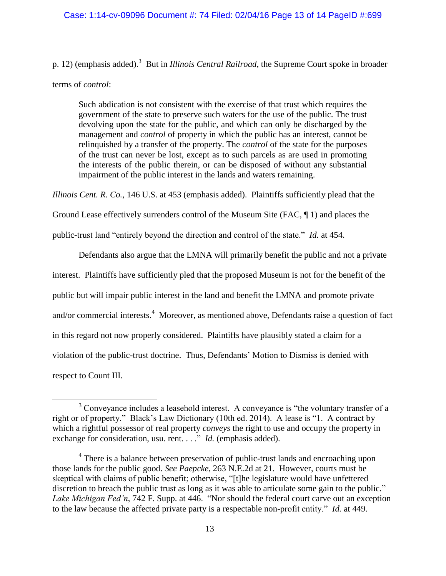### Case: 1:14-cv-09096 Document #: 74 Filed: 02/04/16 Page 13 of 14 PageID #:699

p. 12) (emphasis added).<sup>3</sup> But in *Illinois Central Railroad*, the Supreme Court spoke in broader terms of *control*:

Such abdication is not consistent with the exercise of that trust which requires the government of the state to preserve such waters for the use of the public. The trust devolving upon the state for the public, and which can only be discharged by the management and *control* of property in which the public has an interest, cannot be relinquished by a transfer of the property. The *control* of the state for the purposes of the trust can never be lost, except as to such parcels as are used in promoting the interests of the public therein, or can be disposed of without any substantial impairment of the public interest in the lands and waters remaining.

*Illinois Cent. R. Co.*, 146 U.S. at 453 (emphasis added). Plaintiffs sufficiently plead that the

Ground Lease effectively surrenders control of the Museum Site (FAC, ¶ 1) and places the

public-trust land "entirely beyond the direction and control of the state." *Id.* at 454.

Defendants also argue that the LMNA will primarily benefit the public and not a private interest. Plaintiffs have sufficiently pled that the proposed Museum is not for the benefit of the public but will impair public interest in the land and benefit the LMNA and promote private and/or commercial interests.<sup>4</sup> Moreover, as mentioned above, Defendants raise a question of fact in this regard not now properly considered. Plaintiffs have plausibly stated a claim for a violation of the public-trust doctrine. Thus, Defendants' Motion to Dismiss is denied with respect to Count III.

 $\overline{a}$ 

<sup>&</sup>lt;sup>3</sup> Conveyance includes a leasehold interest. A conveyance is "the voluntary transfer of a right or of property." Black's Law Dictionary (10th ed. 2014). A lease is "1. A contract by which a rightful possessor of real property *conveys* the right to use and occupy the property in exchange for consideration, usu. rent. . . ." *Id.* (emphasis added).

<sup>&</sup>lt;sup>4</sup> There is a balance between preservation of public-trust lands and encroaching upon those lands for the public good. *See Paepcke*, 263 N.E.2d at 21. However, courts must be skeptical with claims of public benefit; otherwise, "[t]he legislature would have unfettered discretion to breach the public trust as long as it was able to articulate some gain to the public." *Lake Michigan Fed'n*, 742 F. Supp. at 446. "Nor should the federal court carve out an exception to the law because the affected private party is a respectable non-profit entity." *Id.* at 449.